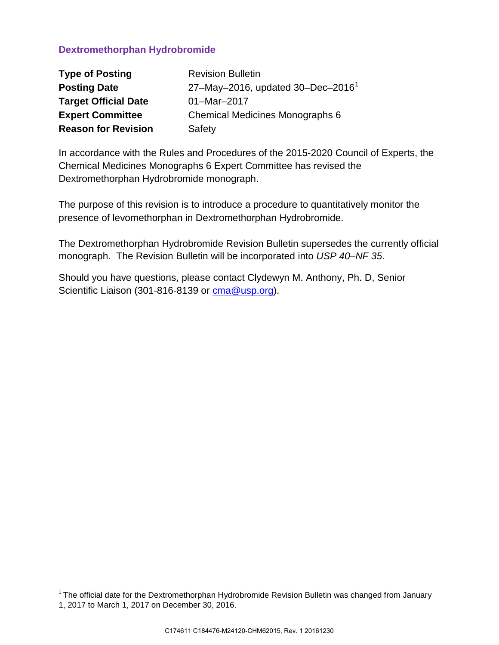# **Dextromethorphan Hydrobromide**

| <b>Type of Posting</b>      | <b>Revision Bulletin</b>                            |
|-----------------------------|-----------------------------------------------------|
| <b>Posting Date</b>         | 27-May-2016, updated $30 - Dec - 2016$ <sup>1</sup> |
| <b>Target Official Date</b> | 01-Mar-2017                                         |
| <b>Expert Committee</b>     | Chemical Medicines Monographs 6                     |
| <b>Reason for Revision</b>  | Safety                                              |

In accordance with the Rules and Procedures of the 2015-2020 Council of Experts, the Chemical Medicines Monographs 6 Expert Committee has revised the Dextromethorphan Hydrobromide monograph.

The purpose of this revision is to introduce a procedure to quantitatively monitor the presence of levomethorphan in Dextromethorphan Hydrobromide.

The Dextromethorphan Hydrobromide Revision Bulletin supersedes the currently official monograph. The Revision Bulletin will be incorporated into *USP 40–NF 35*.

Should you have questions, please contact Clydewyn M. Anthony, Ph. D, Senior Scientific Liaison (301-816-8139 or [cma@usp.org\)](mailto:cma@usp.org).

<span id="page-0-0"></span> $1$  The official date for the Dextromethorphan Hydrobromide Revision Bulletin was changed from January 1, 2017 to March 1, 2017 on December 30, 2016.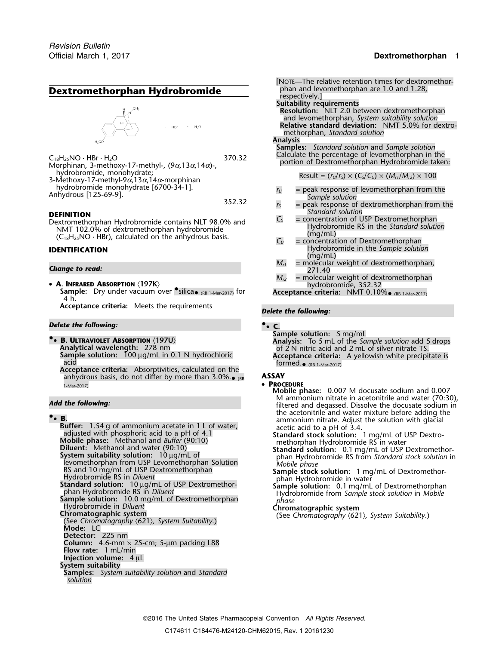## Official March 1, 2017 **Dextromethorphan** 1

# **Dextromethorphan Hydrobromide**

# $HBr$  $H_2O$

 $C_{18}H_{25}NO \cdot HBr \cdot H_2O$ <br>Calculate the percentage of levomethorphan in the STO.32 370.32 bortion of Dextromethorphan Hydrobromide taken: Morphinan, 3-methoxy-17-methyl-,  $(9α,13α,14α)$ -, hydrobromide, monohydrate; hydrobromide, monohydrate; Result = (*<sup>r</sup>U*/*<sup>r</sup>S*) × (*CS*/*CU*) × (*Mr1*/*Mr2*) ×<sup>100</sup> 3-Methoxy-17-methyl-9<sup>α</sup>,13α,14α-morphinan

**DEFINITION**<br>
Dextromethorphan Hydrobromide contains NLT 98.0% and<br>
NMT 102.0% of dextromethorphan hydrobromide<br>
(C<sub>18</sub>H<sub>25</sub>NO · HBr), calculated on the anhydrous basis.<br>  $C_y$  = concentration of Dextromethorphan<br>  $C_y$  = c

- A. INFRARED ABSORPTION (197K)
	- **Sample:** Dry under vacuum over *•silica•* (RB 1-Mar-2017) for 4 h.

**Acceptance criteria:** Meets the requirements *Delete the following:*

## *Delete the following:* **•.**• **C.**

**Acceptance criteria:** Absorptivities, calculated on the anhydrous basis, do not differ by more than 3.0%.<sub>• (RB</sub> **ASSAY** 1-Mar-2017) • **PROCEDURE**

**Buffer:** 1.54 g of ammonium acetate in 1 L of water,<br>
adjusted with phosphoric acid to a pH of 4.1<br>
Mobile phase: Methanol and Buffer (90:10)<br> **EXECUTE:** Methanol and water (90:10)<br> **EXECUTE:** Methanol and water (90:10)<br> RS and 10 mg/mL of USP Dextromethorphan<br>
Hydrobromide RS in Diluent<br>
Standard solution: 10 µg/mL of USP Dextromethor-<br>
phan Hydrobromide in water<br>
Sample solution: 0.1 mg/mL of Dextromethor-<br>
phan Hydrobromide in Water Sam Sample solution: 10.0 mg/mL of Dextromethorphan<br>
Hydrobromide in Diluent<br>
Chromatographic system<br>
Chromatographic system<br>
(See Chromatography (621), System Suitability.)<br>
(See Chromatography (621), System Suitability.) **Mode:** LC **Detector:** 225 nm **Column:** 4.6-mm  $\times$  25-cm; 5-µm packing L88 **Flow rate:** 1 mL/min **Injection volume:** 4 µL **System suitability Samples:** *System suitability solution* and *Standard solution*

- $An$ garobromide monohydrate [6700-34-1].<br>Anhydrous [125-69-9].<br><sup>352.32</sup> *r<sub>S</sub>* = peak response of dextromethorphan from the 352.32
	-
	-
- **IDENTIFICATION** Hydrobromide in the *Sample solution* (mg/mL)
- **Change to read:** 271.40 **Change to read:** 271.40 **Change to read:** 271.40 **Change to read:** 271.40 **Change to read:** 271.40 **Change to read:** 271.40 **Change to read:** 271.40 **Change to read:** 271.40 **Change in the structu** 
	- $M_{r2}$  = molecular weight of dextromethorphan<br>hydrobromide, 352.32

(RB 1-Mar-2017) for **Acceptance criteria:** NMT 0.10%• (RB 1-Mar-2017)

**Sample solution:** 5 mg/mL<br>**•• B. ULTRAVIOLET ABSORPTION**  $\langle 197U \rangle$  **by the substitution:** 5 mL of the Sample solution: 5 mL of the Sample solution: 5 mg/mL **B. ULTRAVIOLET ABSORPTION** (197U) **Analysis:** To 5 mL of the *Sample solution* add 5 drops<br>Analytical wavelength: 278 nm<br>Sample solution: 100 µg/mL in 0.1 N hydrochloric **Acceptance criteria:** A vellowish white precipitat Sample solution: 100 µg/mL in 0.1 N hydrochloric **Acceptance criteria:** A yellowish white precipitate is acid formed.<br>Formed.• sacid formed. formed. $_{\bullet}$  (RB 1-Mar-2017)

**Mobile phase:** 0.007 M docusate sodium and 0.007 Add the following:<br> **Add the following:** *Add the following: filtered and degassed.* Dissolve the docusate sodium in **E.**<br>**B. B. Exercise 2008 CONSIDER** *CONSIDERTIATE Adding the acetonitrile* and water mixture before adding the animonium nitrate. Adjust the solution with glacial

<sup>p</sup>han Hydrobromide RS in *Diluent* Hydrobromide from *Sample stock solution* in *Mobile*